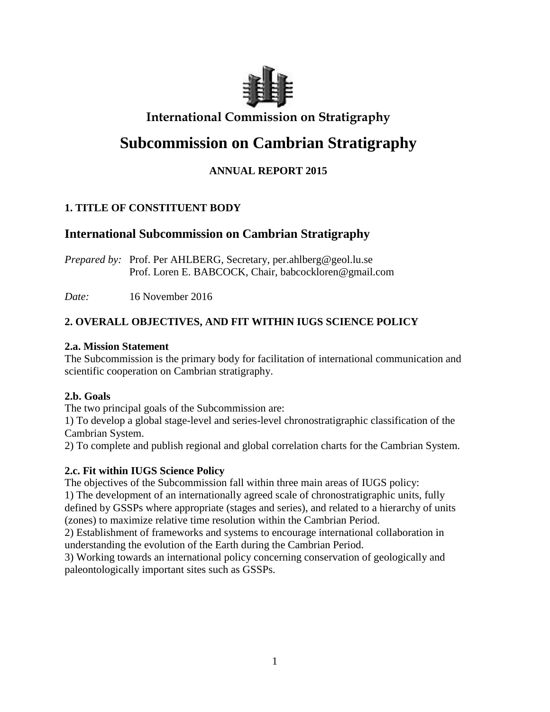

# **International Commission on Stratigraphy**

# **Subcommission on Cambrian Stratigraphy**

# **ANNUAL REPORT 2015**

# **1. TITLE OF CONSTITUENT BODY**

# **International Subcommission on Cambrian Stratigraphy**

*Prepared by:* Prof. Per AHLBERG, Secretary, per.ahlberg@geol.lu.se Prof. Loren E. BABCOCK, Chair, babcockloren@gmail.com

*Date:* 16 November 2016

# **2. OVERALL OBJECTIVES, AND FIT WITHIN IUGS SCIENCE POLICY**

### **2.a. Mission Statement**

The Subcommission is the primary body for facilitation of international communication and scientific cooperation on Cambrian stratigraphy.

# **2.b. Goals**

The two principal goals of the Subcommission are:

1) To develop a global stage-level and series-level chronostratigraphic classification of the Cambrian System.

2) To complete and publish regional and global correlation charts for the Cambrian System.

# **2.c. Fit within IUGS Science Policy**

The objectives of the Subcommission fall within three main areas of IUGS policy:

1) The development of an internationally agreed scale of chronostratigraphic units, fully defined by GSSPs where appropriate (stages and series), and related to a hierarchy of units (zones) to maximize relative time resolution within the Cambrian Period.

2) Establishment of frameworks and systems to encourage international collaboration in understanding the evolution of the Earth during the Cambrian Period.

3) Working towards an international policy concerning conservation of geologically and paleontologically important sites such as GSSPs.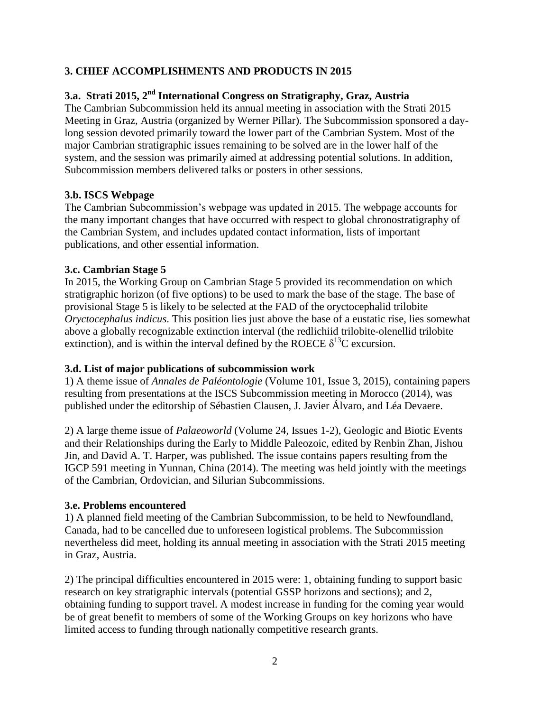### **3. CHIEF ACCOMPLISHMENTS AND PRODUCTS IN 2015**

# **3.a. Strati 2015, 2nd International Congress on Stratigraphy, Graz, Austria**

The Cambrian Subcommission held its annual meeting in association with the Strati 2015 Meeting in Graz, Austria (organized by Werner Pillar). The Subcommission sponsored a daylong session devoted primarily toward the lower part of the Cambrian System. Most of the major Cambrian stratigraphic issues remaining to be solved are in the lower half of the system, and the session was primarily aimed at addressing potential solutions. In addition, Subcommission members delivered talks or posters in other sessions.

#### **3.b. ISCS Webpage**

The Cambrian Subcommission's webpage was updated in 2015. The webpage accounts for the many important changes that have occurred with respect to global chronostratigraphy of the Cambrian System, and includes updated contact information, lists of important publications, and other essential information.

#### **3.c. Cambrian Stage 5**

In 2015, the Working Group on Cambrian Stage 5 provided its recommendation on which stratigraphic horizon (of five options) to be used to mark the base of the stage. The base of provisional Stage 5 is likely to be selected at the FAD of the oryctocephalid trilobite *Oryctocephalus indicus*. This position lies just above the base of a eustatic rise, lies somewhat above a globally recognizable extinction interval (the redlichiid trilobite-olenellid trilobite extinction), and is within the interval defined by the ROECE  $\delta^{13}$ C excursion.

### **3.d. List of major publications of subcommission work**

1) A theme issue of *Annales de Paléontologie* (Volume 101, Issue 3, 2015), containing papers resulting from presentations at the ISCS Subcommission meeting in Morocco (2014), was published under the editorship of Sébastien Clausen, J. Javier Álvaro, and Léa Devaere.

2) A large theme issue of *Palaeoworld* (Volume 24, Issues 1-2), Geologic and Biotic Events and their Relationships during the Early to Middle Paleozoic, edited by Renbin Zhan, Jishou Jin, and David A. T. Harper, was published. The issue contains papers resulting from the IGCP 591 meeting in Yunnan, China (2014). The meeting was held jointly with the meetings of the Cambrian, Ordovician, and Silurian Subcommissions.

#### **3.e. Problems encountered**

1) A planned field meeting of the Cambrian Subcommission, to be held to Newfoundland, Canada, had to be cancelled due to unforeseen logistical problems. The Subcommission nevertheless did meet, holding its annual meeting in association with the Strati 2015 meeting in Graz, Austria.

2) The principal difficulties encountered in 2015 were: 1, obtaining funding to support basic research on key stratigraphic intervals (potential GSSP horizons and sections); and 2, obtaining funding to support travel. A modest increase in funding for the coming year would be of great benefit to members of some of the Working Groups on key horizons who have limited access to funding through nationally competitive research grants.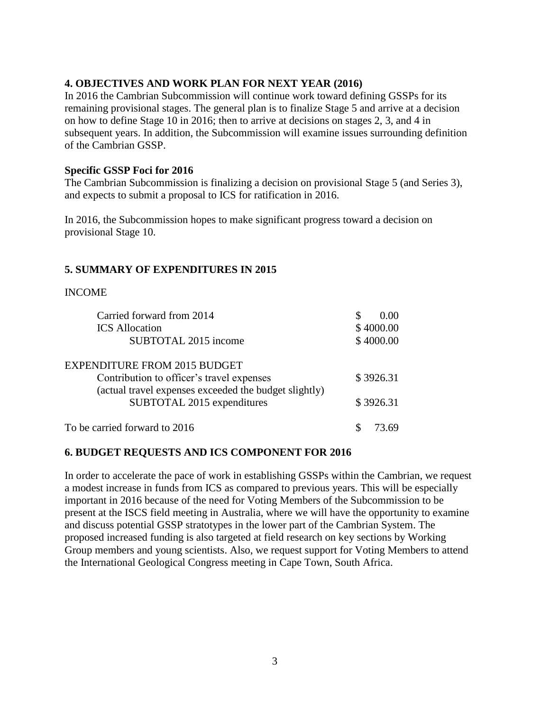#### **4. OBJECTIVES AND WORK PLAN FOR NEXT YEAR (2016)**

In 2016 the Cambrian Subcommission will continue work toward defining GSSPs for its remaining provisional stages. The general plan is to finalize Stage 5 and arrive at a decision on how to define Stage 10 in 2016; then to arrive at decisions on stages 2, 3, and 4 in subsequent years. In addition, the Subcommission will examine issues surrounding definition of the Cambrian GSSP.

#### **Specific GSSP Foci for 2016**

The Cambrian Subcommission is finalizing a decision on provisional Stage 5 (and Series 3), and expects to submit a proposal to ICS for ratification in 2016.

In 2016, the Subcommission hopes to make significant progress toward a decision on provisional Stage 10.

#### **5. SUMMARY OF EXPENDITURES IN 2015**

#### INCOME

| Carried forward from 2014                             | 0.00      |
|-------------------------------------------------------|-----------|
| <b>ICS</b> Allocation                                 | \$4000.00 |
| SUBTOTAL 2015 income                                  | \$4000.00 |
| <b>EXPENDITURE FROM 2015 BUDGET</b>                   |           |
| Contribution to officer's travel expenses             | \$3926.31 |
| (actual travel expenses exceeded the budget slightly) |           |
| SUBTOTAL 2015 expenditures                            | \$3926.31 |
| To be carried forward to 2016                         | 73.69     |

#### **6. BUDGET REQUESTS AND ICS COMPONENT FOR 2016**

In order to accelerate the pace of work in establishing GSSPs within the Cambrian, we request a modest increase in funds from ICS as compared to previous years. This will be especially important in 2016 because of the need for Voting Members of the Subcommission to be present at the ISCS field meeting in Australia, where we will have the opportunity to examine and discuss potential GSSP stratotypes in the lower part of the Cambrian System. The proposed increased funding is also targeted at field research on key sections by Working Group members and young scientists. Also, we request support for Voting Members to attend the International Geological Congress meeting in Cape Town, South Africa.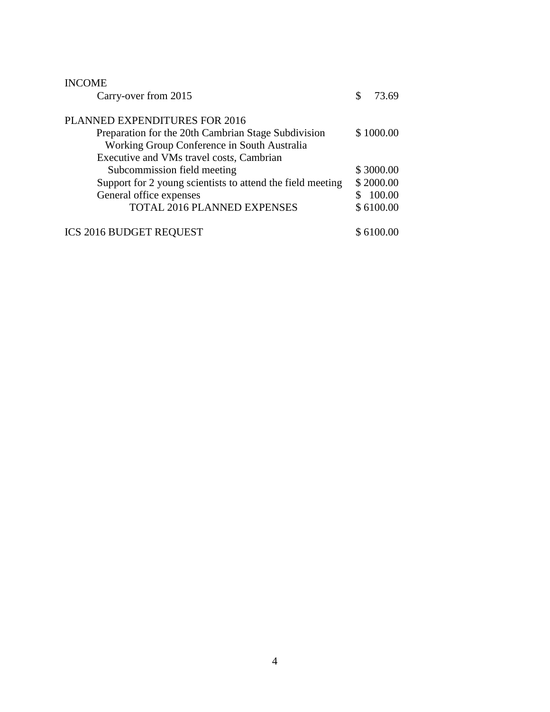| <b>INCOME</b>                                              |     |           |
|------------------------------------------------------------|-----|-----------|
| Carry-over from 2015                                       | \$. | 73.69     |
| PLANNED EXPENDITURES FOR 2016                              |     |           |
| Preparation for the 20th Cambrian Stage Subdivision        |     | \$1000.00 |
| Working Group Conference in South Australia                |     |           |
| Executive and VMs travel costs, Cambrian                   |     |           |
| Subcommission field meeting                                |     | \$3000.00 |
| Support for 2 young scientists to attend the field meeting |     | \$2000.00 |
| General office expenses                                    |     | 100.00    |
| TOTAL 2016 PLANNED EXPENSES                                |     | \$6100.00 |
| <b>ICS 2016 BUDGET REQUEST</b>                             |     | \$6100.00 |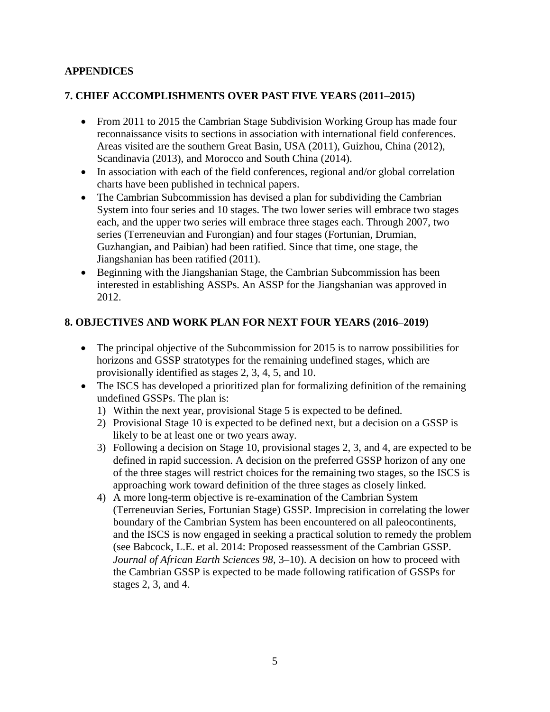### **APPENDICES**

### **7. CHIEF ACCOMPLISHMENTS OVER PAST FIVE YEARS (2011–2015)**

- From 2011 to 2015 the Cambrian Stage Subdivision Working Group has made four reconnaissance visits to sections in association with international field conferences. Areas visited are the southern Great Basin, USA (2011), Guizhou, China (2012), Scandinavia (2013), and Morocco and South China (2014).
- In association with each of the field conferences, regional and/or global correlation charts have been published in technical papers.
- The Cambrian Subcommission has devised a plan for subdividing the Cambrian System into four series and 10 stages. The two lower series will embrace two stages each, and the upper two series will embrace three stages each. Through 2007, two series (Terreneuvian and Furongian) and four stages (Fortunian, Drumian, Guzhangian, and Paibian) had been ratified. Since that time, one stage, the Jiangshanian has been ratified (2011).
- Beginning with the Jiangshanian Stage, the Cambrian Subcommission has been interested in establishing ASSPs. An ASSP for the Jiangshanian was approved in 2012.

### **8. OBJECTIVES AND WORK PLAN FOR NEXT FOUR YEARS (2016–2019)**

- The principal objective of the Subcommission for 2015 is to narrow possibilities for horizons and GSSP stratotypes for the remaining undefined stages, which are provisionally identified as stages 2, 3, 4, 5, and 10.
- The ISCS has developed a prioritized plan for formalizing definition of the remaining undefined GSSPs. The plan is:
	- 1) Within the next year, provisional Stage 5 is expected to be defined.
	- 2) Provisional Stage 10 is expected to be defined next, but a decision on a GSSP is likely to be at least one or two years away.
	- 3) Following a decision on Stage 10, provisional stages 2, 3, and 4, are expected to be defined in rapid succession. A decision on the preferred GSSP horizon of any one of the three stages will restrict choices for the remaining two stages, so the ISCS is approaching work toward definition of the three stages as closely linked.
	- 4) A more long-term objective is re-examination of the Cambrian System (Terreneuvian Series, Fortunian Stage) GSSP. Imprecision in correlating the lower boundary of the Cambrian System has been encountered on all paleocontinents, and the ISCS is now engaged in seeking a practical solution to remedy the problem (see Babcock, L.E. et al. 2014: Proposed reassessment of the Cambrian GSSP. *Journal of African Earth Sciences 98*, 3–10). A decision on how to proceed with the Cambrian GSSP is expected to be made following ratification of GSSPs for stages 2, 3, and 4.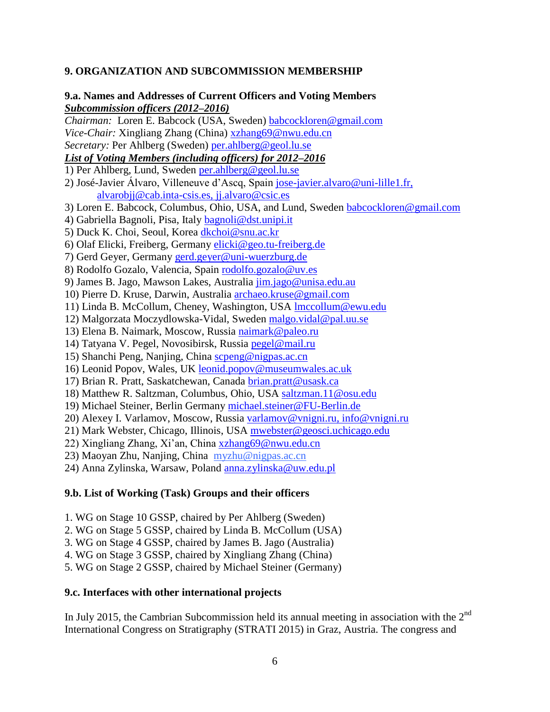#### **9. ORGANIZATION AND SUBCOMMISSION MEMBERSHIP**

# **9.a. Names and Addresses of Current Officers and Voting Members** *Subcommission officers (2012–2016)*

*Chairman:*Loren E. Babcock (USA, Sweden) [babcockloren@gmail.com](mailto:loren.babcock@geol.lu.se) *Vice-Chair:* Xingliang Zhang (China) [xzhang69@nwu.edu.cn](mailto:xzhang69@nwu.edu.cn) *Secretary:* Per Ahlberg (Sweden) [per.ahlberg@geol.lu.se](mailto:per.ahlberg@geol.lu.se) *List of Voting Members (including officers) for 2012–2016* 1) Per Ahlberg, Lund, Sweden [per.ahlberg@geol.lu.se](mailto:per.ahlberg@geol.lu.se) 2) José-Javier Álvaro, Villeneuve d'Ascq, Spain [jose-javier.alvaro@uni-lille1.fr,](mailto:jose-javier.alvaro@uni-lille1.fr) [alvarobjj@cab.inta-csis.es,](mailto:alvarobjj@cab.inta-csis.es) [jj.alvaro@csic.es](mailto:jj.alvaro@csic.es) 3) Loren E. Babcock, Columbus, Ohio, USA, and Lund, Sweden [babcockloren@gmail.com](mailto:babcockloren@gmail.com) 4) Gabriella Bagnoli, Pisa, Italy [bagnoli@dst.unipi.it](mailto:bagnoli@dst.unipi.it) 5) Duck K. Choi, Seoul, Korea [dkchoi@snu.ac.kr](mailto:dkchoi@snu.ac.kr) 6) Olaf Elicki, Freiberg, Germany [elicki@geo.tu-freiberg.de](mailto:elicki@geo.tu-freiberg.de) 7) Gerd Geyer, Germany [gerd.geyer@uni-wuerzburg.de](mailto:gerd.geyer@uni-wuerzburg.de) 8) Rodolfo Gozalo, Valencia, Spain [rodolfo.gozalo@uv.es](mailto:rodolfo.gozalo@uv.es) 9) James B. Jago, Mawson Lakes, Australia [jim.jago@unisa.edu.au](mailto:jim.jago@unisa.edu.au) 10) Pierre D. Kruse, Darwin, Australia [archaeo.kruse@gmail.com](mailto:archaeo.kruse@gmail.com) 11) Linda B. McCollum, Cheney, Washington, USA **Imccollum@ewu.edu** 12) Malgorzata Moczydlowska-Vidal, Sweden [malgo.vidal@pal.uu.se](mailto:malgo.vidal@pal.uu.se) 13) Elena B. Naimark, Moscow, Russia [naimark@paleo.ru](mailto:naimark@paleo.ru) 14) Tatyana V. Pegel, Novosibirsk, Russia [pegel@mail.ru](mailto:pegel@mail.ru) 15) Shanchi Peng, Nanjing, China [scpeng@nigpas.ac.cn](mailto:scpeng@nigpas.ac.cn) 16) Leonid Popov, Wales, UK leonid.popov@museumwales.ac.uk 17) Brian R. Pratt, Saskatchewan, Canada [brian.pratt@usask.ca](mailto:brian.pratt@usask.ca) 18) Matthew R. Saltzman, Columbus, Ohio, USA [saltzman.11@osu.edu](mailto:saltzman.11@osu.edu) 19) Michael Steiner, Berlin Germany [michael.steiner@FU-Berlin.de](mailto:michael.steiner@FU-Berlin.de) 20) Alexey I. Varlamov, Moscow, Russia [varlamov@vnigni.ru,](mailto:varlamov@vnigni.ru) [info@vnigni.ru](mailto:info@vnigni.ru) 21) Mark Webster, Chicago, Illinois, USA [mwebster@geosci.uchicago.edu](mailto:mwebster@geosci.uchicago.edu) 22) Xingliang Zhang, Xi'an, China [xzhang69@nwu.edu.cn](mailto:xzhang69@nwu.edu.cn) 23) Maoyan Zhu, Nanjing, China [myzhu@nigpas.ac.cn](mailto:myzhu@nigpas.ac.cn) 24) Anna Zylinska, Warsaw, Poland [anna.zylinska@uw.edu.pl](mailto:anna.zylinska@uw.edu.pl)

#### **9.b. List of Working (Task) Groups and their officers**

- 1. WG on Stage 10 GSSP, chaired by Per Ahlberg (Sweden)
- 2. WG on Stage 5 GSSP, chaired by Linda B. McCollum (USA)
- 3. WG on Stage 4 GSSP, chaired by James B. Jago (Australia)
- 4. WG on Stage 3 GSSP, chaired by Xingliang Zhang (China)
- 5. WG on Stage 2 GSSP, chaired by Michael Steiner (Germany)

#### **9.c. Interfaces with other international projects**

In July 2015, the Cambrian Subcommission held its annual meeting in association with the  $2<sup>nd</sup>$ International Congress on Stratigraphy (STRATI 2015) in Graz, Austria. The congress and